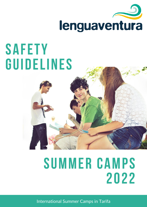

# **SAFETY GUIDELINES**

## **SUMMER CAMPS 2022**

International Summer Camps in Tarifa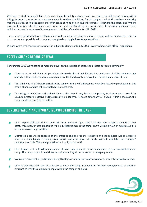We have created these guidelines to communicate the safety measures and procedures, we at Lenguaventura, will be taking in order to operate our summer camps in optimal conditions for all campers and staff members - ensuring maximum safety during the camp and offer peace of mind of our student's parents. Following the safety and hygiene protocol from our school residence and from the Junta de Andalusia, we are prepared to organise a summer camp which won't lose its essence of former years but will be safe and fun for all in 2022.

The measures detailed below are focused and will enable us the ideal conditions to carry out our summer camp in the most normal way possible, with the special emphasis on **hygienic-safety precautions.** 

We are aware that these measures may be subject to change until July 2022, in accordance with official regulations.

### **SAFETY CHECKS BEFORE ARRIVAL**

For summer 2022 we're counting more than ever on the support of parents to protect our camp community.

- If necessary, we will kindly ask parents to observe health of their kids for two weeks ahead of the summer camp \* start date. If possible, we ask parents to ensure the kids have limited contact for the same period of time.
- Any child who falls ill before arrival to the summer camp will unfortunately not be allowed to participate. In this ж case a change of date will be granted at no extra cost.
- According to guidelines and national laws at the time, it may be still compulsory for international arrivals in Spain to present a negative PCR test result no older than 48 hours before arrival in Spain. If this is the case, the campers will be required to do this.

### **GENERAL SAFETY AND HYGIENE MEASURES INSIDE THE CAMP**

- Our campers will be informed about all safety measures upon arrival. To help the campers remember these x safety measures, printed guidelines will be distributed across the camp. There will be always an adult around to advise or answer any questions.
- Disinfection gel will be exposed at the entrance and all over the residence and the campers will be asked to × wash first their hands if coming from outside and also before all meals. We will also take the teenagers' temperatures daily. The same procedure will apply to our staff.
- Our cleaning staff will follow meticulous cleaning guidelines at the recommended hygiene standards for our ж camp. The camp base will be disinfected daily including all public areas and sleeping rooms.
- We recommend that all participants bring flip flops or similar footwear to wear only inside the school residence.
- Only participants and staff are allowed to enter the camp. Providers will deliver goods/services at another entrance to limit the amount of people within the camp at all times.